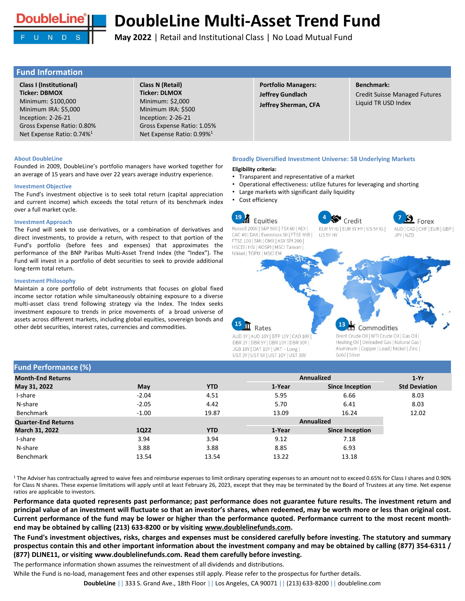

**May 2022** | Retail and Institutional Class | No Load Mutual Fund

# **Fund Information**

**Class I (Institutional) Ticker: DBMOX**  Minimum: \$100,000 Minimum IRA: \$5,000 Inception: 2-26-21 Gross Expense Ratio: 0.80% Net Expense Ratio: 0.74%<sup>1</sup>

**Class N (Retail) Ticker: DLMOX**  Minimum: \$2,000 Minimum IRA: \$500 Inception: 2-26-21 Gross Expense Ratio: 1.05% Net Expense Ratio: 0.99%<sup>1</sup>

**Portfolio Managers: Jeffrey Gundlach Jeffrey Sherman, CFA** 

# **Benchmark:**

Credit Suisse Managed Futures Liquid TR USD Index

#### **About DoubleLine**

Founded in 2009, DoubleLine's portfolio managers have worked together for an average of 15 years and have over 22 years average industry experience.

### **Investment Objective**

The Fund's investment objective is to seek total return (capital appreciation and current income) which exceeds the total return of its benchmark index over a full market cycle.

#### **Investment Approach**

The Fund will seek to use derivatives, or a combination of derivatives and direct investments, to provide a return, with respect to that portion of the Fund's portfolio (before fees and expenses) that approximates the performance of the BNP Paribas Multi-Asset Trend Index (the "Index"). The Fund will invest in a portfolio of debt securities to seek to provide additional long-term total return.

#### **Investment Philosophy**

Maintain a core portfolio of debt instruments that focuses on global fixed income sector rotation while simultaneously obtaining exposure to a diverse multi-asset class trend following strategy via the Index. The Index seeks investment exposure to trends in price movements of a broad universe of assets across different markets, including global equities, sovereign bonds and other debt securities, interest rates, currencies and commodities.

#### **Broadly Diversified Investment Universe: 58 Underlying Markets**

#### **Eligibility criteria:**

- Transparent and representative of a market
- Operational effectiveness: utilize futures for leveraging and shorting
- Large markets with significant daily liquidity
	- Cost efficiency



JGB 10Y | OAT 10Y | UKT - Long | UST 2Y | UST 5Y | UST 10Y | UST 30Y Aluminum | Copper | Lead | Nickel | Zinc | Gold | Silver

## **Fund Performance (%)**

|             |            |        |                        | $1-Yr$                                 |
|-------------|------------|--------|------------------------|----------------------------------------|
| May         | <b>YTD</b> | 1-Year | <b>Since Inception</b> | <b>Std Deviation</b>                   |
| $-2.04$     | 4.51       | 5.95   | 6.66                   | 8.03                                   |
| $-2.05$     | 4.42       | 5.70   | 6.41                   | 8.03                                   |
| $-1.00$     | 19.87      | 13.09  | 16.24                  | 12.02                                  |
|             |            |        |                        |                                        |
| <b>1Q22</b> | <b>YTD</b> | 1-Year | <b>Since Inception</b> |                                        |
| 3.94        | 3.94       | 9.12   | 7.18                   |                                        |
| 3.88        | 3.88       | 8.85   | 6.93                   |                                        |
| 13.54       | 13.54      | 13.22  | 13.18                  |                                        |
|             |            |        |                        | <b>Annualized</b><br><b>Annualized</b> |

<sup>1</sup> The Adviser has contractually agreed to waive fees and reimburse expenses to limit ordinary operating expenses to an amount not to exceed 0.65% for Class I shares and 0.90% for Class N shares. These expense limitations will apply until at least February 26, 2023, except that they may be terminated by the Board of Trustees at any time. Net expense ratios are applicable to investors.

Performance data quoted represents past performance; past performance does not guarantee future results. The investment return and principal value of an investment will fluctuate so that an investor's shares, when redeemed, may be worth more or less than original cost. Current performance of the fund may be lower or higher than the performance quoted. Performance current to the most recent month**end may be obtained by calling (213) 633-8200 or by visiting [www.doublelinefunds.com.](http://www.doublelinefunds.com/)**

The Fund's investment objectives, risks, charges and expenses must be considered carefully before investing. The statutory and summary prospectus contain this and other important information about the investment company and may be obtained by calling (877) 354-6311 / **(877) DLINE11, or visiting www.doublelinefunds.com. Read them carefully before investing.**

The performance information shown assumes the reinvestment of all dividends and distributions.

While the Fund is no-load, management fees and other expenses still apply. Please refer to the prospectus for further details.

**DoubleLine** || 333 S. Grand Ave., 18th Floor || Los Angeles, CA 90071 || (213) 633-8200 || doubleline.com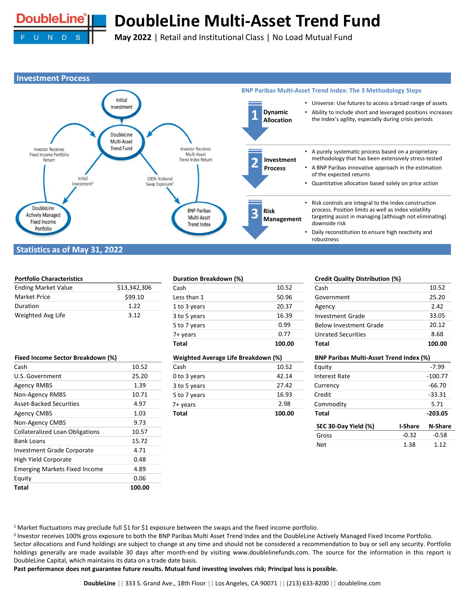

**May 2022** | Retail and Institutional Class | No Load Mutual Fund



# **Statistics as of May 31, 2022**

# **Portfolio Characteristics**

| <b>Ending Market Value</b> | \$13,342,306 |
|----------------------------|--------------|
| <b>Market Price</b>        | \$99.10      |
| Duration                   | 1 22         |
| Weighted Avg Life          | 3.12         |

| 10.52  |
|--------|
| 25.20  |
| 1.39   |
| 10.71  |
| 4.97   |
| 1.03   |
| 9.73   |
| 10.57  |
| 15.72  |
| 4.71   |
| 0.48   |
| 4.89   |
| 0.06   |
| 100.00 |
|        |

## **Duration Breakdown (%)**

| Total        | 100.00 |
|--------------|--------|
| 7+ years     | 0.77   |
| 5 to 7 years | 0.99   |
| 3 to 5 years | 16.39  |
| 1 to 3 years | 20.37  |
| Less than 1  | 50.96  |
| Cash         | 10.52  |

#### **Weighted Average Life Breakdown (%)**

| <b>Total</b> | 100.00 |
|--------------|--------|
| 7+ years     | 2.98   |
| 5 to 7 years | 16.93  |
| 3 to 5 years | 27.42  |
| 0 to 3 years | 42.14  |
| Cash         | 10.52  |

### **Credit Quality Distribution (%)**

| Total                     | 100.00 |
|---------------------------|--------|
| <b>Unrated Securities</b> | 8.68   |
| Below Investment Grade    | 20.12  |
| <b>Investment Grade</b>   | 33.05  |
| Agency                    | 7.47   |
| Government                | 25.20  |
| Cash                      | 10.52  |

| <b>BNP Paribas Multi-Asset Trend Index (%)</b> |                |                |  |  |
|------------------------------------------------|----------------|----------------|--|--|
| Equity                                         |                | $-7.99$        |  |  |
| Interest Rate                                  |                | $-100.77$      |  |  |
| Currency                                       |                | $-66.70$       |  |  |
| Credit                                         |                | $-33.31$       |  |  |
| Commodity                                      |                | 5.71           |  |  |
| <b>Total</b>                                   |                | $-203.05$      |  |  |
| SEC 30-Day Yield (%)                           | <b>I-Share</b> | <b>N-Share</b> |  |  |
| Gross                                          | $-0.32$        | $-0.58$        |  |  |
| Net                                            | 1.38           | 1.12           |  |  |

<sup>1</sup> Market fluctuations may preclude full \$1 for \$1 exposure between the swaps and the fixed income portfolio.

<sup>2</sup> Investor receives 100% gross exposure to both the BNP Paribas Multi Asset Trend Index and the DoubleLine Actively Managed Fixed Income Portfolio. Sector allocations and Fund holdings are subject to change at any time and should not be considered a recommendation to buy or sell any security. Portfolio holdings generally are made available 30 days after month-end by visiting www.doublelinefunds.com. The source for the information in this report is DoubleLine Capital, which maintains its data on a trade date basis.

Past performance does not guarantee future results. Mutual fund investing involves risk; Principal loss is possible.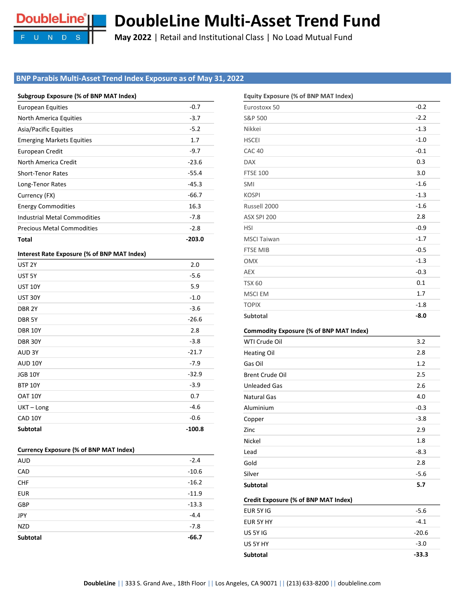

**May 2022** | Retail and Institutional Class | No Load Mutual Fund

# **BNP Parabis Multi-Asset Trend Index Exposure as of May 31, 2022**

| Subgroup Exposure (% of BNP MAT Index) |  |  |  |  |  |  |
|----------------------------------------|--|--|--|--|--|--|
|----------------------------------------|--|--|--|--|--|--|

| <b>European Equities</b>                    | $-0.7$   |
|---------------------------------------------|----------|
| North America Equities                      | $-3.7$   |
| Asia/Pacific Equities                       | $-5.2$   |
| <b>Emerging Markets Equities</b>            | 1.7      |
| European Credit                             | $-9.7$   |
| North America Credit                        | $-23.6$  |
| <b>Short-Tenor Rates</b>                    | $-55.4$  |
| Long-Tenor Rates                            | $-45.3$  |
| Currency (FX)                               | $-66.7$  |
| <b>Energy Commodities</b>                   | 16.3     |
| <b>Industrial Metal Commodities</b>         | $-7.8$   |
| <b>Precious Metal Commodities</b>           | $-2.8$   |
| <b>Total</b>                                | $-203.0$ |
|                                             |          |
| Interest Rate Exposure (% of BNP MAT Index) |          |
| UST <sub>2Y</sub>                           | 2.0      |
| UST <sub>5Y</sub>                           | $-5.6$   |
| <b>UST 10Y</b>                              | 5.9      |
| <b>UST 30Y</b>                              | $-1.0$   |
| DBR <sub>2Y</sub>                           | $-3.6$   |
| DBR <sub>5Y</sub>                           | $-26.6$  |
| <b>DBR 10Y</b>                              | 2.8      |
| <b>DBR 30Y</b>                              | $-3.8$   |
| AUD <sub>3Y</sub>                           | $-21.7$  |
| AUD 10Y                                     | $-7.9$   |
| <b>JGB 10Y</b>                              | $-32.9$  |
| <b>BTP 10Y</b>                              | $-3.9$   |

| Equity Exposure (% of BNP MAT Index) |        |
|--------------------------------------|--------|
| Eurostoxx 50                         | $-0.2$ |
| S&P 500                              | $-2.2$ |
| Nikkei                               | $-1.3$ |
| <b>HSCEI</b>                         | $-1.0$ |
| CAC <sub>40</sub>                    | $-0.1$ |
| <b>DAX</b>                           | 0.3    |
| <b>FTSE 100</b>                      | 3.0    |
| <b>SMI</b>                           | $-1.6$ |
| <b>KOSPI</b>                         | $-1.3$ |
| Russell 2000                         | $-1.6$ |
| ASX SPI 200                          | 2.8    |
| <b>HSI</b>                           | $-0.9$ |
| <b>MSCI Taiwan</b>                   | $-1.7$ |
| <b>FTSE MIB</b>                      | $-0.5$ |
| <b>OMX</b>                           | $-1.3$ |
| <b>AEX</b>                           | $-0.3$ |
| <b>TSX 60</b>                        | 0.1    |
| <b>MSCI EM</b>                       | 1.7    |
| <b>TOPIX</b>                         | $-1.8$ |
| <b>Subtotal</b>                      | $-8.0$ |

# **Commodity Exposure (% of BNP MAT Index)**

| <b>Subtotal</b>        | 5.7    |
|------------------------|--------|
| Silver                 | $-5.6$ |
| Gold                   | 2.8    |
| Lead                   | $-8.3$ |
| Nickel                 | 1.8    |
| Zinc                   | 2.9    |
| Copper                 | $-3.8$ |
| Aluminium              | $-0.3$ |
| <b>Natural Gas</b>     | 4.0    |
| <b>Unleaded Gas</b>    | 2.6    |
| <b>Brent Crude Oil</b> | 2.5    |
| Gas Oil                | 1.2    |
| <b>Heating Oil</b>     | 2.8    |
| WTI Crude Oil          | 3.2    |

### **Credit Exposure (% of BNP MAT Index)**

| EUR 5Y IG       | $-5.6$  |
|-----------------|---------|
| EUR 5Y HY       | $-4.1$  |
| US 5Y IG        | $-20.6$ |
| US 5Y HY        | $-3.0$  |
| <b>Subtotal</b> | $-33.3$ |

| <b>Currency Exposure (% of BNP MAT Index)</b> |  |  |  |  |
|-----------------------------------------------|--|--|--|--|
|-----------------------------------------------|--|--|--|--|

| <b>AUD</b> | $-2.4$  |
|------------|---------|
| CAD        | $-10.6$ |
| <b>CHF</b> | $-16.2$ |
| <b>EUR</b> | $-11.9$ |
| GBP        | $-13.3$ |
| JPY        | $-4.4$  |
| <b>NZD</b> | $-7.8$  |
| Subtotal   | $-66.7$ |
|            |         |

 $UKT - Long$   $-4.6$  $CAD 10Y$  -0.6 **Subtotal -100.8**